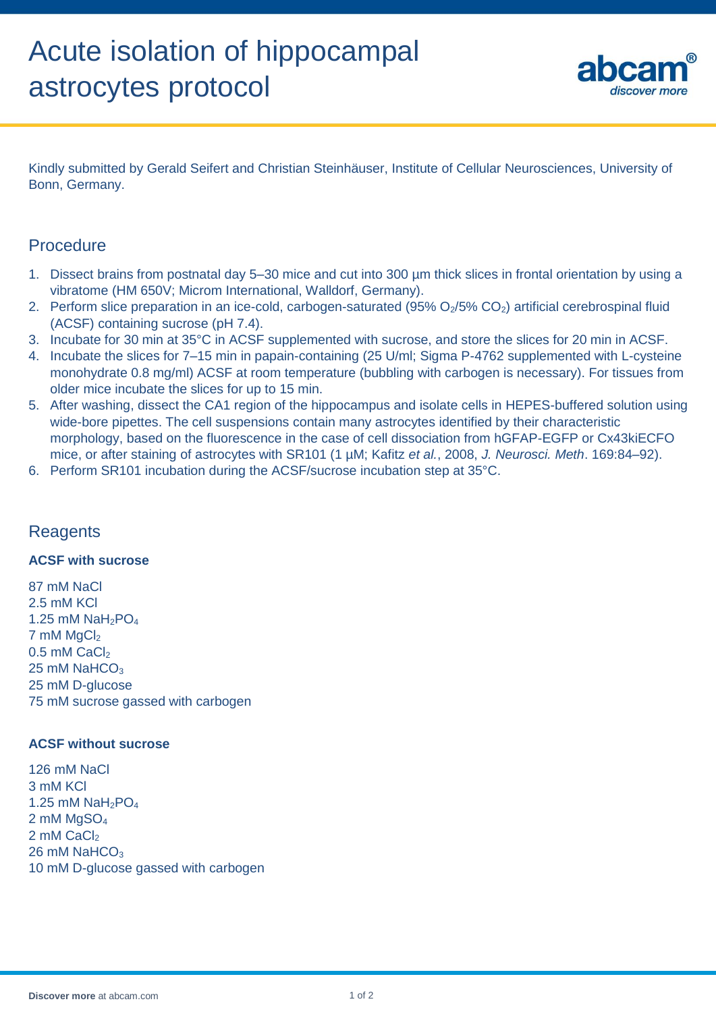

Kindly submitted by Gerald Seifert and Christian Steinhäuser, Institute of Cellular Neurosciences, University of Bonn, Germany.

## **Procedure**

- 1. Dissect brains from postnatal day 5–30 mice and cut into 300 µm thick slices in frontal orientation by using a vibratome (HM 650V; Microm International, Walldorf, Germany).
- 2. Perform slice preparation in an ice-cold, carbogen-saturated (95% O<sub>2</sub>/5% CO<sub>2</sub>) artificial cerebrospinal fluid (ACSF) containing sucrose (pH 7.4).
- 3. Incubate for 30 min at 35°C in ACSF supplemented with sucrose, and store the slices for 20 min in ACSF.
- 4. Incubate the slices for 7–15 min in papain-containing (25 U/ml; Sigma P-4762 supplemented with L-cysteine monohydrate 0.8 mg/ml) ACSF at room temperature (bubbling with carbogen is necessary). For tissues from older mice incubate the slices for up to 15 min.
- 5. After washing, dissect the CA1 region of the hippocampus and isolate cells in HEPES-buffered solution using wide-bore pipettes. The cell suspensions contain many astrocytes identified by their characteristic morphology, based on the fluorescence in the case of cell dissociation from hGFAP-EGFP or Cx43kiECFO mice, or after staining of astrocytes with SR101 (1 µM; Kafitz *et al.*, 2008, *J. Neurosci. Meth*. 169:84–92).
- 6. Perform SR101 incubation during the ACSF/sucrose incubation step at 35°C.

# **Reagents**

#### **ACSF with sucrose**

87 mM NaCl 2.5 mM KCl 1.25 mM  $NaH<sub>2</sub>PO<sub>4</sub>$  $7 \text{ mM } MqCl<sub>2</sub>$  $0.5$  mM CaCl<sub>2</sub>  $25$  mM NaHCO<sub>3</sub> 25 mM D-glucose 75 mM sucrose gassed with carbogen

#### **ACSF without sucrose**

126 mM NaCl 3 mM KCl 1.25 mM  $NaH<sub>2</sub>PO<sub>4</sub>$ 2 mM MgSO<sup>4</sup> 2 mM CaCl<sub>2</sub> 26 mM NaHCO<sub>3</sub> 10 mM D-glucose gassed with carbogen